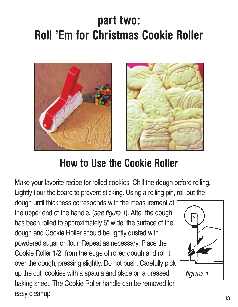# **part two: Roll 'Em for Christmas Cookie Roller**



### **How to Use the Cookie Roller**

Make your favorite recipe for rolled cookies. Chill the dough before rolling. Lightly flour the board to prevent sticking. Using a rolling pin, roll out the

dough until thickness corresponds with the measurement at the upper end of the handle. (see figure 1). After the dough has been rolled to approximately 6" wide, the surface of the dough and Cookie Roller should be lightly dusted with powdered sugar or flour. Repeat as necessary. Place the Cookie Roller 1/2" from the edge of rolled dough and roll it over the dough, pressing slightly. Do not push. Carefully pick up the cut cookies with a spatula and place on a greased baking sheet. The Cookie Roller handle can be removed for easy cleanup. 13

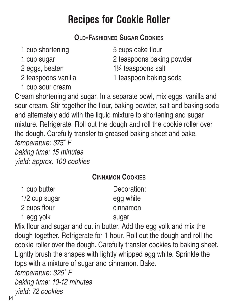### **OLD-FASHIONED SUGAR COOKIES**

- 
- 
- 

1 cup sour cream

1 cup shortening 5 cups cake flour

1 cup sugar 2 teaspoons baking powder

2 eggs, beaten 1<sup>1/4</sup> teaspoons salt

2 teaspoons vanilla 1 teaspoon baking soda

Cream shortening and sugar. In a separate bowl, mix eggs, vanilla and sour cream. Stir together the flour, baking powder, salt and baking soda and alternately add with the liquid mixture to shortening and sugar mixture. Refrigerate. Roll out the dough and roll the cookie roller over the dough. Carefully transfer to greased baking sheet and bake. temperature: 375˚ F baking time: 15 minutes yield: approx. 100 cookies

#### **CINNAMON COOKIES**

| 1 cup butter  | Decoration: |
|---------------|-------------|
| 1/2 cup sugar | egg white   |
| 2 cups flour  | cinnamon    |
| 1 egg yolk    | sugar       |

Mix flour and sugar and cut in butter. Add the egg yolk and mix the dough together. Refrigerate for 1 hour. Roll out the dough and roll the cookie roller over the dough. Carefully transfer cookies to baking sheet. Lightly brush the shapes with lightly whipped egg white. Sprinkle the tops with a mixture of sugar and cinnamon. Bake. temperature: 325˚ F baking time: 10-12 minutes yield: 72 cookies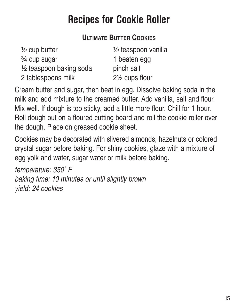#### **ULTIMATE BUTTER COOKIES**

| 1/2 teaspoon vanilla |
|----------------------|
| 1 beaten egg         |
| pinch salt           |
| 2½ cups flour        |
|                      |

Cream butter and sugar, then beat in egg. Dissolve baking soda in the milk and add mixture to the creamed butter. Add vanilla, salt and flour. Mix well. If dough is too sticky, add a little more flour. Chill for 1 hour. Roll dough out on a floured cutting board and roll the cookie roller over the dough. Place on greased cookie sheet.

Cookies may be decorated with slivered almonds, hazelnuts or colored crystal sugar before baking. For shiny cookies, glaze with a mixture of egg yolk and water, sugar water or milk before baking.

temperature: 350˚ F baking time: 10 minutes or until slightly brown yield: 24 cookies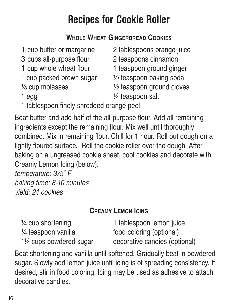### **WHOLE WHEAT GINGERBREAD COOKIES**

| 1 cup butter or margarine                | 2 tablespoons orange juice |
|------------------------------------------|----------------------------|
| 3 cups all-purpose flour                 | 2 teaspoons cinnamon       |
| 1 cup whole wheat flour                  | 1 teaspoon ground ginger   |
| 1 cup packed brown sugar                 | 1/2 teaspoon baking soda   |
| 1/ <sub>3</sub> cup molasses             | 1/2 teaspoon ground cloves |
| 1 egg                                    | 1/4 teaspoon salt          |
| 1 tablespoon finely shredded orange peel |                            |

- 
- 
- 
- 

Beat butter and add half of the all-purpose flour. Add all remaining ingredients except the remaining flour. Mix well until thoroughly combined. Mix in remaining flour. Chill for 1 hour. Roll out dough on a lightly floured surface. Roll the cookie roller over the dough. After baking on a ungreased cookie sheet, cool cookies and decorate with Creamy Lemon Icing (below).

temperature: 375˚ F baking time: 8-10 minutes yield: 24 cookies

#### **CREAMY LEMON ICING**

<sup>1/4</sup> cup shortening 1 tablespoon lemon juice 1/4 teaspoon vanilla food coloring (optional) 11⁄4 cups powdered sugar decorative candies (optional)

Beat shortening and vanilla until softened. Gradually beat in powdered sugar. Slowly add lemon juice until icing is of spreading consistency. If desired, stir in food coloring. Icing may be used as adhesive to attach decorative candies.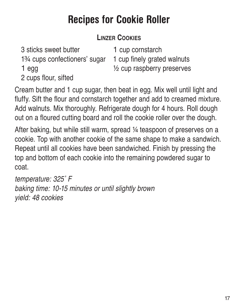### **LINZER COOKIES**

3 sticks sweet butter 1 cup cornstarch 1% cups confectioners' sugar 1 cup finely grated walnuts 1 egg ¹⁄₂ cup raspberry preserves 2 cups flour, sifted

Cream butter and 1 cup sugar, then beat in egg. Mix well until light and fluffy. Sift the flour and cornstarch together and add to creamed mixture. Add walnuts. Mix thoroughly. Refrigerate dough for 4 hours. Roll dough out on a floured cutting board and roll the cookie roller over the dough.

After baking, but while still warm, spread  $\frac{1}{4}$  teaspoon of preserves on a cookie. Top with another cookie of the same shape to make a sandwich. Repeat until all cookies have been sandwiched. Finish by pressing the top and bottom of each cookie into the remaining powdered sugar to coat.

temperature: 325˚ F baking time: 10-15 minutes or until slightly brown yield: 48 cookies